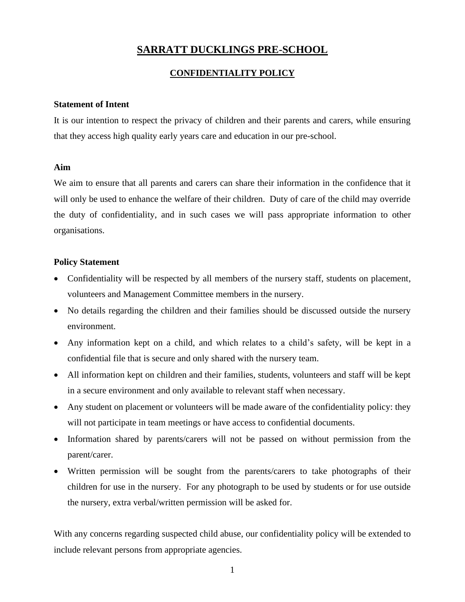# **SARRATT DUCKLINGS PRE-SCHOOL**

### **CONFIDENTIALITY POLICY**

#### **Statement of Intent**

It is our intention to respect the privacy of children and their parents and carers, while ensuring that they access high quality early years care and education in our pre-school.

#### **Aim**

We aim to ensure that all parents and carers can share their information in the confidence that it will only be used to enhance the welfare of their children. Duty of care of the child may override the duty of confidentiality, and in such cases we will pass appropriate information to other organisations.

#### **Policy Statement**

- Confidentiality will be respected by all members of the nursery staff, students on placement, volunteers and Management Committee members in the nursery.
- No details regarding the children and their families should be discussed outside the nursery environment.
- Any information kept on a child, and which relates to a child's safety, will be kept in a confidential file that is secure and only shared with the nursery team.
- All information kept on children and their families, students, volunteers and staff will be kept in a secure environment and only available to relevant staff when necessary.
- Any student on placement or volunteers will be made aware of the confidentiality policy: they will not participate in team meetings or have access to confidential documents.
- Information shared by parents/carers will not be passed on without permission from the parent/carer.
- Written permission will be sought from the parents/carers to take photographs of their children for use in the nursery. For any photograph to be used by students or for use outside the nursery, extra verbal/written permission will be asked for.

With any concerns regarding suspected child abuse, our confidentiality policy will be extended to include relevant persons from appropriate agencies.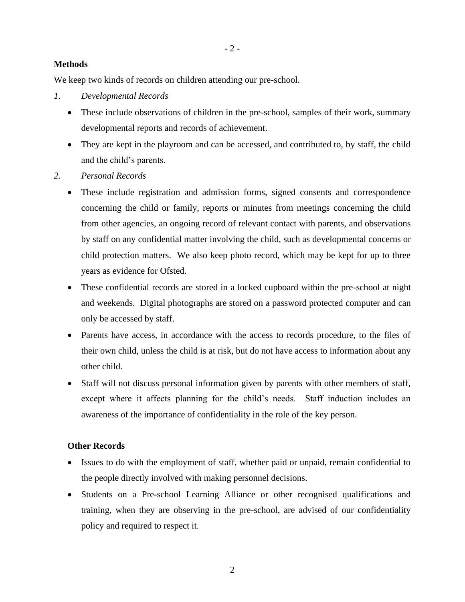### **Methods**

We keep two kinds of records on children attending our pre-school.

- *1. Developmental Records*
	- These include observations of children in the pre-school, samples of their work, summary developmental reports and records of achievement.
	- They are kept in the playroom and can be accessed, and contributed to, by staff, the child and the child's parents.
- *2. Personal Records*
	- These include registration and admission forms, signed consents and correspondence concerning the child or family, reports or minutes from meetings concerning the child from other agencies, an ongoing record of relevant contact with parents, and observations by staff on any confidential matter involving the child, such as developmental concerns or child protection matters. We also keep photo record, which may be kept for up to three years as evidence for Ofsted.
	- These confidential records are stored in a locked cupboard within the pre-school at night and weekends. Digital photographs are stored on a password protected computer and can only be accessed by staff.
	- Parents have access, in accordance with the access to records procedure, to the files of their own child, unless the child is at risk, but do not have access to information about any other child.
	- Staff will not discuss personal information given by parents with other members of staff, except where it affects planning for the child's needs. Staff induction includes an awareness of the importance of confidentiality in the role of the key person.

#### **Other Records**

- Issues to do with the employment of staff, whether paid or unpaid, remain confidential to the people directly involved with making personnel decisions.
- Students on a Pre-school Learning Alliance or other recognised qualifications and training, when they are observing in the pre-school, are advised of our confidentiality policy and required to respect it.